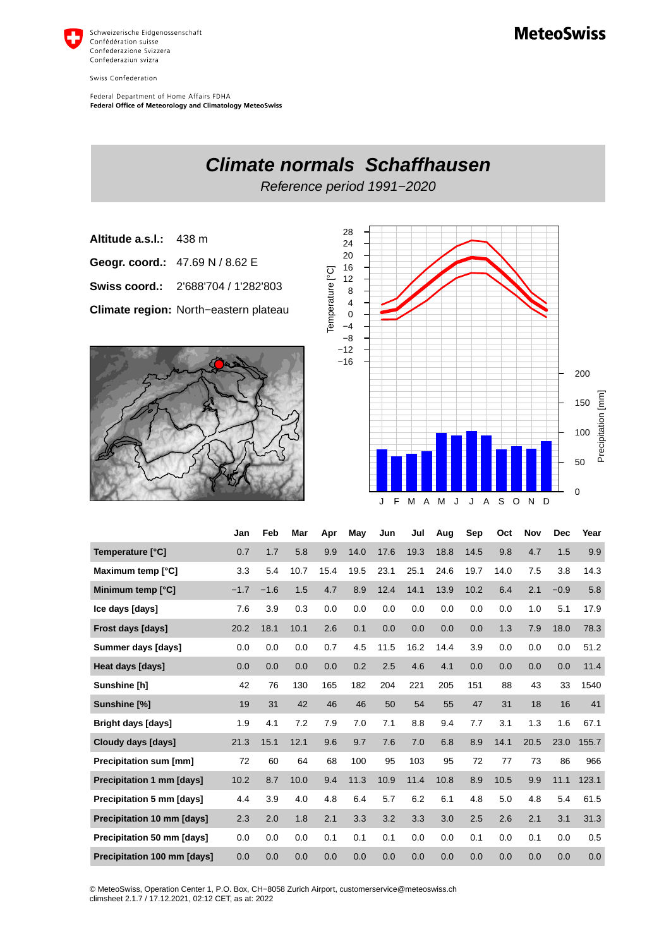

Swiss Confederation

Federal Department of Home Affairs FDHA Federal Office of Meteorology and Climatology MeteoSwiss

 $\Omega$ 

J F M A M J J A S O N D

**Climate normals Schaffhausen** Reference period 1991−2020 28 **Altitude a.s.l.:** 438 m 24 20 **Geogr. coord.:** 47.69 N / 8.62 E 16 Temperature [°C] Temperature [°C] 12 **Swiss coord.:** 2'688'704 / 1'282'803 8 4 **Climate region:** North−eastern plateau 0 −4 −8 −12 −16 200 Precipitation [mm] Precipitation [mm] 150 100 50

|                                   | Jan    | Feb    | Mar  | Apr  | May  | Jun  | Jul  | Aug  | Sep  | Oct  | Nov  | <b>Dec</b> | Year  |
|-----------------------------------|--------|--------|------|------|------|------|------|------|------|------|------|------------|-------|
| Temperature [°C]                  | 0.7    | 1.7    | 5.8  | 9.9  | 14.0 | 17.6 | 19.3 | 18.8 | 14.5 | 9.8  | 4.7  | 1.5        | 9.9   |
| Maximum temp [°C]                 | 3.3    | 5.4    | 10.7 | 15.4 | 19.5 | 23.1 | 25.1 | 24.6 | 19.7 | 14.0 | 7.5  | 3.8        | 14.3  |
| Minimum temp [°C]                 | $-1.7$ | $-1.6$ | 1.5  | 4.7  | 8.9  | 12.4 | 14.1 | 13.9 | 10.2 | 6.4  | 2.1  | $-0.9$     | 5.8   |
| Ice days [days]                   | 7.6    | 3.9    | 0.3  | 0.0  | 0.0  | 0.0  | 0.0  | 0.0  | 0.0  | 0.0  | 1.0  | 5.1        | 17.9  |
| Frost days [days]                 | 20.2   | 18.1   | 10.1 | 2.6  | 0.1  | 0.0  | 0.0  | 0.0  | 0.0  | 1.3  | 7.9  | 18.0       | 78.3  |
| Summer days [days]                | 0.0    | 0.0    | 0.0  | 0.7  | 4.5  | 11.5 | 16.2 | 14.4 | 3.9  | 0.0  | 0.0  | 0.0        | 51.2  |
| Heat days [days]                  | 0.0    | 0.0    | 0.0  | 0.0  | 0.2  | 2.5  | 4.6  | 4.1  | 0.0  | 0.0  | 0.0  | 0.0        | 11.4  |
| Sunshine [h]                      | 42     | 76     | 130  | 165  | 182  | 204  | 221  | 205  | 151  | 88   | 43   | 33         | 1540  |
| Sunshine [%]                      | 19     | 31     | 42   | 46   | 46   | 50   | 54   | 55   | 47   | 31   | 18   | 16         | 41    |
| <b>Bright days [days]</b>         | 1.9    | 4.1    | 7.2  | 7.9  | 7.0  | 7.1  | 8.8  | 9.4  | 7.7  | 3.1  | 1.3  | 1.6        | 67.1  |
| Cloudy days [days]                | 21.3   | 15.1   | 12.1 | 9.6  | 9.7  | 7.6  | 7.0  | 6.8  | 8.9  | 14.1 | 20.5 | 23.0       | 155.7 |
| <b>Precipitation sum [mm]</b>     | 72     | 60     | 64   | 68   | 100  | 95   | 103  | 95   | 72   | 77   | 73   | 86         | 966   |
| Precipitation 1 mm [days]         | 10.2   | 8.7    | 10.0 | 9.4  | 11.3 | 10.9 | 11.4 | 10.8 | 8.9  | 10.5 | 9.9  | 11.1       | 123.1 |
| Precipitation 5 mm [days]         | 4.4    | 3.9    | 4.0  | 4.8  | 6.4  | 5.7  | 6.2  | 6.1  | 4.8  | 5.0  | 4.8  | 5.4        | 61.5  |
| <b>Precipitation 10 mm [days]</b> | 2.3    | 2.0    | 1.8  | 2.1  | 3.3  | 3.2  | 3.3  | 3.0  | 2.5  | 2.6  | 2.1  | 3.1        | 31.3  |
| Precipitation 50 mm [days]        | 0.0    | 0.0    | 0.0  | 0.1  | 0.1  | 0.1  | 0.0  | 0.0  | 0.1  | 0.0  | 0.1  | 0.0        | 0.5   |
| Precipitation 100 mm [days]       | 0.0    | 0.0    | 0.0  | 0.0  | 0.0  | 0.0  | 0.0  | 0.0  | 0.0  | 0.0  | 0.0  | 0.0        | 0.0   |

© MeteoSwiss, Operation Center 1, P.O. Box, CH−8058 Zurich Airport, customerservice@meteoswiss.ch climsheet 2.1.7 / 17.12.2021, 02:12 CET, as at: 2022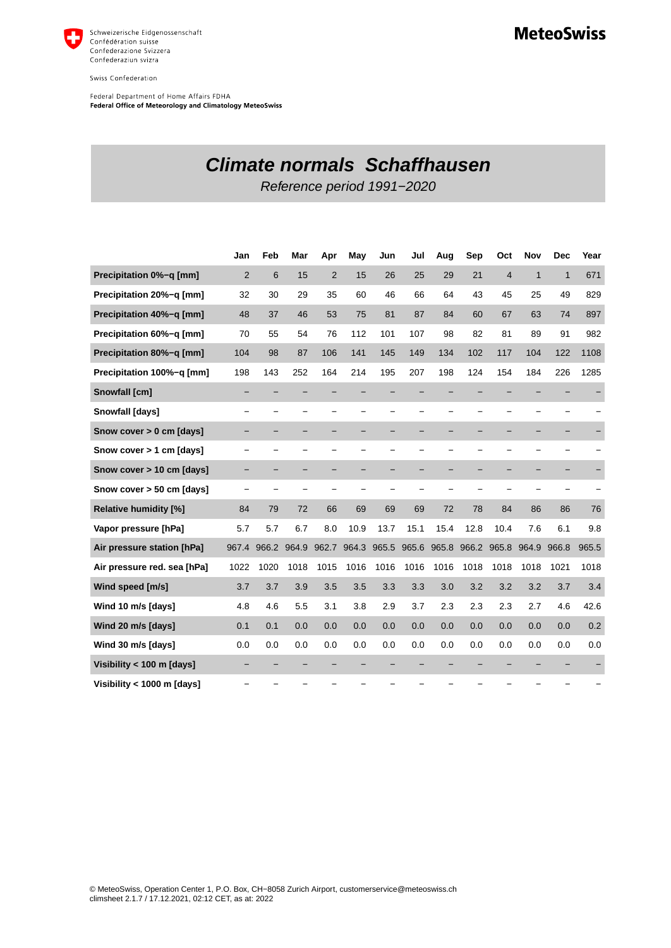

Swiss Confederation

Federal Department of Home Affairs FDHA Federal Office of Meteorology and Climatology MeteoSwiss

## **Climate normals Schaffhausen**

Reference period 1991−2020

|                              | Jan            | Feb   | Mar   | Apr            | May   | Jun   | Jul                      | Aug                      | Sep   | Oct            | Nov          | <b>Dec</b>   | Year  |
|------------------------------|----------------|-------|-------|----------------|-------|-------|--------------------------|--------------------------|-------|----------------|--------------|--------------|-------|
| Precipitation 0%-g [mm]      | $\overline{2}$ | 6     | 15    | $\overline{2}$ | 15    | 26    | 25                       | 29                       | 21    | $\overline{4}$ | $\mathbf{1}$ | $\mathbf{1}$ | 671   |
| Precipitation 20%-g [mm]     | 32             | 30    | 29    | 35             | 60    | 46    | 66                       | 64                       | 43    | 45             | 25           | 49           | 829   |
| Precipitation 40%-q [mm]     | 48             | 37    | 46    | 53             | 75    | 81    | 87                       | 84                       | 60    | 67             | 63           | 74           | 897   |
| Precipitation 60%-q [mm]     | 70             | 55    | 54    | 76             | 112   | 101   | 107                      | 98                       | 82    | 81             | 89           | 91           | 982   |
| Precipitation 80%-q [mm]     | 104            | 98    | 87    | 106            | 141   | 145   | 149                      | 134                      | 102   | 117            | 104          | 122          | 1108  |
| Precipitation 100%-g [mm]    | 198            | 143   | 252   | 164            | 214   | 195   | 207                      | 198                      | 124   | 154            | 184          | 226          | 1285  |
| Snowfall [cm]                |                |       |       |                |       |       |                          |                          |       |                |              |              |       |
| <b>Snowfall [days]</b>       |                |       |       |                |       |       |                          |                          |       |                |              |              |       |
| Snow cover > 0 cm [days]     |                |       |       |                |       |       | -                        | -                        |       |                |              |              |       |
| Snow cover > 1 cm [days]     |                |       |       |                |       |       | $\overline{\phantom{0}}$ | —                        |       |                |              |              |       |
| Snow cover > 10 cm [days]    |                |       |       |                |       |       |                          |                          |       |                |              |              |       |
| Snow cover > 50 cm [days]    |                |       |       |                |       |       | $\overline{\phantom{0}}$ | $\overline{\phantom{0}}$ |       |                |              |              |       |
| <b>Relative humidity [%]</b> | 84             | 79    | 72    | 66             | 69    | 69    | 69                       | 72                       | 78    | 84             | 86           | 86           | 76    |
| Vapor pressure [hPa]         | 5.7            | 5.7   | 6.7   | 8.0            | 10.9  | 13.7  | 15.1                     | 15.4                     | 12.8  | 10.4           | 7.6          | 6.1          | 9.8   |
| Air pressure station [hPa]   | 967.4          | 966.2 | 964.9 | 962.7          | 964.3 | 965.5 | 965.6                    | 965.8                    | 966.2 | 965.8          | 964.9        | 966.8        | 965.5 |
| Air pressure red. sea [hPa]  | 1022           | 1020  | 1018  | 1015           | 1016  | 1016  | 1016                     | 1016                     | 1018  | 1018           | 1018         | 1021         | 1018  |
| Wind speed [m/s]             | 3.7            | 3.7   | 3.9   | 3.5            | 3.5   | 3.3   | 3.3                      | 3.0                      | 3.2   | 3.2            | 3.2          | 3.7          | 3.4   |
| Wind 10 m/s [days]           | 4.8            | 4.6   | 5.5   | 3.1            | 3.8   | 2.9   | 3.7                      | 2.3                      | 2.3   | 2.3            | 2.7          | 4.6          | 42.6  |
| Wind 20 m/s [days]           | 0.1            | 0.1   | 0.0   | 0.0            | 0.0   | 0.0   | 0.0                      | 0.0                      | 0.0   | 0.0            | 0.0          | 0.0          | 0.2   |
| Wind 30 m/s [days]           | 0.0            | 0.0   | 0.0   | 0.0            | 0.0   | 0.0   | 0.0                      | 0.0                      | 0.0   | 0.0            | 0.0          | 0.0          | 0.0   |
| Visibility < 100 m [days]    |                |       |       |                |       |       |                          |                          |       |                |              |              |       |
| Visibility < 1000 m [days]   |                |       |       |                |       |       |                          |                          |       |                |              |              |       |